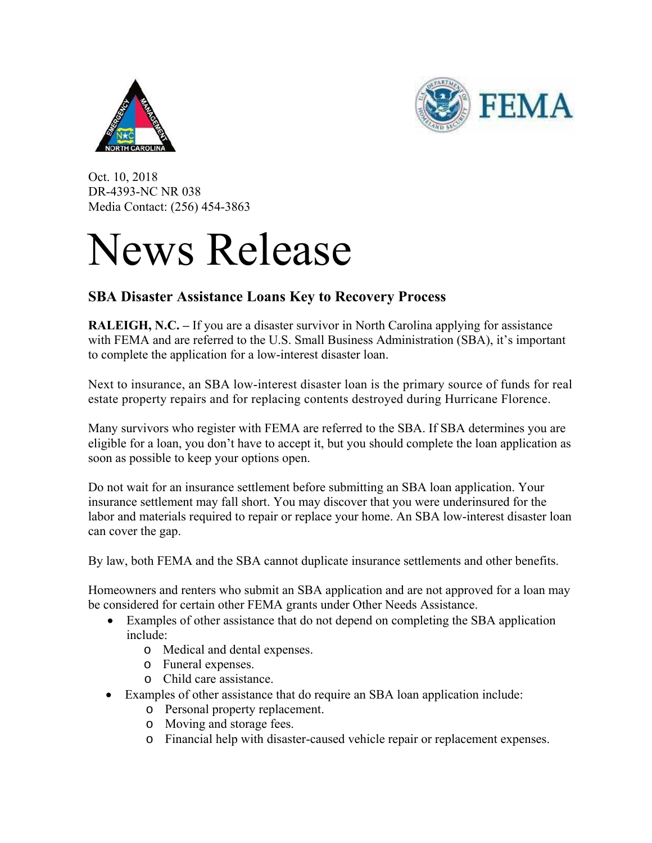



Oct. 10, 2018 DR-4393-NC NR 038 Media Contact: (256) 454-3863

## News Release

## **SBA Disaster Assistance Loans Key to Recovery Process**

**RALEIGH, N.C.** – If you are a disaster survivor in North Carolina applying for assistance with FEMA and are referred to the U.S. Small Business Administration (SBA), it's important to complete the application for a low-interest disaster loan.

Next to insurance, an SBA low-interest disaster loan is the primary source of funds for real estate property repairs and for replacing contents destroyed during Hurricane Florence.

Many survivors who register with FEMA are referred to the SBA. If SBA determines you are eligible for a loan, you don't have to accept it, but you should complete the loan application as soon as possible to keep your options open.

Do not wait for an insurance settlement before submitting an SBA loan application. Your insurance settlement may fall short. You may discover that you were underinsured for the labor and materials required to repair or replace your home. An SBA low-interest disaster loan can cover the gap.

By law, both FEMA and the SBA cannot duplicate insurance settlements and other benefits.

Homeowners and renters who submit an SBA application and are not approved for a loan may be considered for certain other FEMA grants under Other Needs Assistance.

- Examples of other assistance that do not depend on completing the SBA application include:
	- o Medical and dental expenses.
	- o Funeral expenses.
	- o Child care assistance.
- Examples of other assistance that do require an SBA loan application include:
	- o Personal property replacement.
	- o Moving and storage fees.
	- o Financial help with disaster-caused vehicle repair or replacement expenses.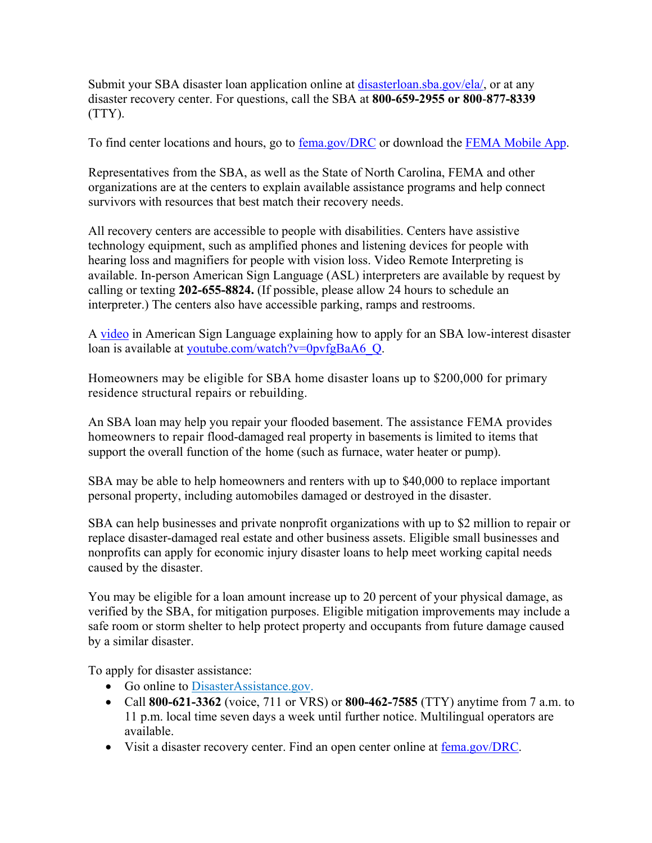Submit your SBA disaster loan application online at disasterloan.sba.gov/ela/, or at any disaster recovery center. For questions, call the SBA at **800-659-2955 or 800**-**877-8339**  (TTY).

To find center locations and hours, go to fema.gov/DRC or download the FEMA Mobile App.

Representatives from the SBA, as well as the State of North Carolina, FEMA and other organizations are at the centers to explain available assistance programs and help connect survivors with resources that best match their recovery needs.

All recovery centers are accessible to people with disabilities. Centers have assistive technology equipment, such as amplified phones and listening devices for people with hearing loss and magnifiers for people with vision loss. Video Remote Interpreting is available. In-person American Sign Language (ASL) interpreters are available by request by calling or texting **202-655-8824.** (If possible, please allow 24 hours to schedule an interpreter.) The centers also have accessible parking, ramps and restrooms.

A video in American Sign Language explaining how to apply for an SBA low-interest disaster loan is available at youtube.com/watch?v=0pvfgBaA6\_Q.

Homeowners may be eligible for SBA home disaster loans up to \$200,000 for primary residence structural repairs or rebuilding.

An SBA loan may help you repair your flooded basement. The assistance FEMA provides homeowners to repair flood-damaged real property in basements is limited to items that support the overall function of the home (such as furnace, water heater or pump).

SBA may be able to help homeowners and renters with up to \$40,000 to replace important personal property, including automobiles damaged or destroyed in the disaster.

SBA can help businesses and private nonprofit organizations with up to \$2 million to repair or replace disaster-damaged real estate and other business assets. Eligible small businesses and nonprofits can apply for economic injury disaster loans to help meet working capital needs caused by the disaster.

You may be eligible for a loan amount increase up to 20 percent of your physical damage, as verified by the SBA, for mitigation purposes. Eligible mitigation improvements may include a safe room or storm shelter to help protect property and occupants from future damage caused by a similar disaster.

To apply for disaster assistance:

- Go online to DisasterAssistance.gov.
- Call **800-621-3362** (voice, 711 or VRS) or **800-462-7585** (TTY) anytime from 7 a.m. to 11 p.m. local time seven days a week until further notice. Multilingual operators are available.
- Visit a disaster recovery center. Find an open center online at fema.gov/DRC.